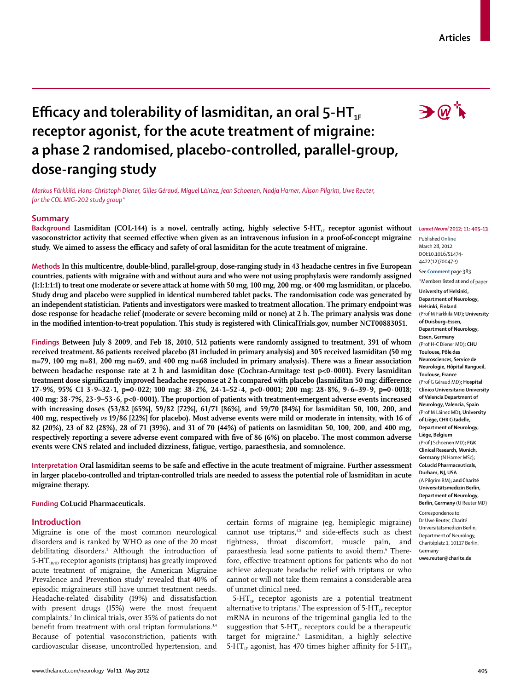# **Efficacy and tolerability of lasmiditan, an oral 5-HT receptor agonist, for the acute treatment of migraine: a phase 2 randomised, placebo-controlled, parallel-group, dose-ranging study**

*Markus Färkkilä, Hans-Christoph Diener, Gilles Géraud, Miguel Láinez, Jean Schoenen, Nadja Harner, Alison Pilgrim, Uwe Reuter, for the COL MIG-202 study group\**

# **Summary**

Background Lasmiditan (COL-144) is a novel, centrally acting, highly selective 5-HT<sub>IF</sub> receptor agonist without vasoconstrictor activity that seemed effective when given as an intravenous infusion in a proof-of-concept migraine study. We aimed to assess the efficacy and safety of oral lasmiditan for the acute treatment of migraine.

# Methods In this multicentre, double-blind, parallel-group, dose-ranging study in 43 headache centres in five European **countries, patients with migraine with and without aura and who were not using prophylaxis were randomly assigned (1:1:1:1:1) to treat one moderate or severe attack at home with 50 mg, 100 mg, 200 mg, or 400 mg lasmiditan, or placebo. Study drug and placebo were supplied in identical numbered tablet packs. The randomisation code was generated by an independent statistician. Patients and investigators were masked to treatment allocation. The primary endpoint was dose response for headache relief (moderate or severe becoming mild or none) at 2 h. The primary analysis was done**  in the modified intention-to-treat population. This study is registered with ClinicalTrials.gov, number NCT00883051.

**Findings Between July 8 2009, and Feb 18, 2010, 512 patients were randomly assigned to treatment, 391 of whom received treatment. 86 patients received placebo (81 included in primary analysis) and 305 received lasmiditan (50 mg n=79, 100 mg n=81, 200 mg n=69, and 400 mg n=68 included in primary analysis). There was a linear association between headache response rate at 2 h and lasmiditan dose (Cochran-Armitage test p<0·0001). Every lasmiditan**  treatment dose significantly improved headache response at 2 h compared with placebo (lasmiditan 50 mg: difference **17·9%, 95% CI 3·9–32·1, p=0·022; 100 mg: 38·2%, 24·1–52·4, p<0·0001; 200 mg: 28·8%, 9·6–39·9, p=0·0018; 400 mg: 38·7%, 23·9–53·6, p<0·0001). The proportion of patients with treatment-emergent adverse events increased with increasing doses (53/82 [65%], 59/82 [72%], 61/71 [86%], and 59/70 [84%] for lasmiditan 50, 100, 200, and 400 mg, respectively** *vs* **19/86 [22%] for placebo). Most adverse events were mild or moderate in intensity, with 16 of 82 (20%), 23 of 82 (28%), 28 of 71 (39%), and 31 of 70 (44%) of patients on lasmiditan 50, 100, 200, and 400 mg,**  respectively reporting a severe adverse event compared with five of 86 (6%) on placebo. The most common adverse **events were CNS related and included dizziness, fatigue, vertigo, paraesthesia, and somnolence.**

Interpretation Oral lasmiditan seems to be safe and effective in the acute treatment of migraine. Further assessment **in larger placebo-controlled and triptan-controlled trials are needed to assess the potential role of lasmiditan in acute migraine therapy.**

**Funding CoLucid Pharmaceuticals.**

# **Introduction**

Migraine is one of the most common neurological disorders and is ranked by WHO as one of the 20 most debilitating disorders.1 Although the introduction of  $5-HT<sub>1B/1D</sub>$  receptor agonists (triptans) has greatly improved acute treatment of migraine, the American Migraine Prevalence and Prevention study<sup>2</sup> revealed that 40% of episodic migraineurs still have unmet treatment needs. Headache-related disability (19%) and dissatisfaction with present drugs (15%) were the most frequent complaints.2 In clinical trials, over 35% of patients do not benefit from treatment with oral triptan formulations.<sup>3,4</sup> Because of potential vasoconstriction, patients with cardiovascular disease, uncontrolled hypertension, and

certain forms of migraine (eg, hemiplegic migraine) cannot use triptans,<sup>4,5</sup> and side-effects such as chest tightness, throat discomfort, muscle pain, and paraesthesia lead some patients to avoid them.6 Therefore, effective treatment options for patients who do not achieve adequate headache relief with triptans or who cannot or will not take them remains a considerable area of unmet clinical need.

 $5-HT<sub>1F</sub>$  receptor agonists are a potential treatment alternative to triptans.<sup>7</sup> The expression of 5-HT<sub>1F</sub> receptor mRNA in neurons of the trigeminal ganglia led to the suggestion that  $5-HT_{1F}$  receptors could be a therapeutic target for migraine.<sup>8</sup> Lasmiditan, a highly selective 5-HT<sub>IF</sub> agonist, has 470 times higher affinity for 5-HT<sub>IF</sub>

#### *Lancet Neurol* **2012; 11: 405–13**

Published **Online** March 28, 2012 DOI:10.1016/S1474- 4422(12)70047-9

# See **Comment** page 383

\*Members listed at end of paper **University of Helsinki, Department of Neurology, Helsinki, Finland** (Prof M Färkkilä MD)**; University of Duisburg–Essen, Department of Neurology, Essen, Germany** (Prof H-C Diener MD)**; CHU Toulouse, Pôle des Neurosciences, Service de Neurologie, Hôpital Rangueil, Toulouse, France** (Prof G Géraud MD)**; Hospital Clínico Universitario University of Valencia Department of Neurology, Valencia, Spain** (Prof M Láinez MD)**; University of Liège, CHR Citadelle, Department of Neurology, Liège, Belgium** (Prof J Schoenen MD)**; FGK Clinical Research, Munich, Germany** (N Harner MSc)**; CoLucid Pharmaceuticals, Durham, NJ, USA** (A Pilgrim BM)**; and Charité Universitätsmedizin Berlin, Department of Neurology, Berlin, Germany** (U Reuter MD)

Correspondence to: Dr Uwe Reuter, Charité Universitätsmedizin Berlin, Department of Neurology, Charitéplatz 1, 10117 Berlin, Germany **uwe.reuter@charite.de**

# 子四下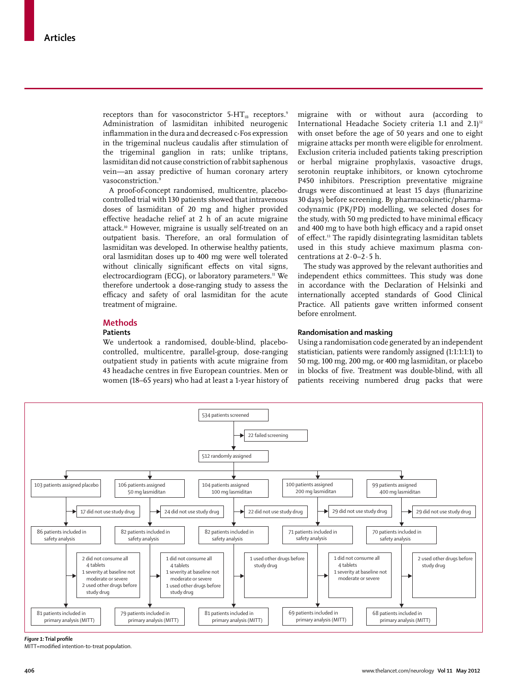receptors than for vasoconstrictor  $5-HT_{1B}$  receptors.<sup>9</sup> Administration of lasmiditan inhibited neurogenic inflammation in the dura and decreased c-Fos expression in the trigeminal nucleus caudalis after stimulation of the trigeminal ganglion in rats; unlike triptans, lasmiditan did not cause constriction of rabbit saphenous vein—an assay predictive of human coronary artery vasoconstriction.9

A proof-of-concept randomised, multicentre, placebocontrolled trial with 130 patients showed that intravenous doses of lasmiditan of 20 mg and higher provided effective headache relief at 2 h of an acute migraine attack.<sup>10</sup> However, migraine is usually self-treated on an outpatient basis. Therefore, an oral formulation of lasmiditan was developed. In otherwise healthy patients, oral lasmiditan doses up to 400 mg were well tolerated without clinically significant effects on vital signs, electrocardiogram (ECG), or laboratory parameters.<sup>11</sup> We therefore undertook a dose-ranging study to assess the effi cacy and safety of oral lasmiditan for the acute treatment of migraine.

# **Methods**

#### **Patients**

We undertook a randomised, double-blind, placebocontrolled, multicentre, parallel-group, dose-ranging outpatient study in patients with acute migraine from 43 headache centres in five European countries. Men or women (18–65 years) who had at least a 1-year history of migraine with or without aura (according to International Headache Society criteria 1.1 and  $2.1$ <sup>12</sup> with onset before the age of 50 years and one to eight migraine attacks per month were eligible for enrolment. Exclusion criteria included patients taking prescription or herbal migraine prophylaxis, vasoactive drugs, serotonin reuptake inhibitors, or known cytochrome P450 inhibitors. Prescription preventative migraine drugs were discontinued at least 15 days (flunarizine 30 days) before screening. By pharmacokinetic/pharmacodynamic (PK/PD) modelling, we selected doses for the study, with 50 mg predicted to have minimal efficacy and 400 mg to have both high efficacy and a rapid onset of effect.<sup>13</sup> The rapidly disintegrating lasmiditan tablets used in this study achieve maximum plasma concentrations at 2·0–2·5 h.

The study was approved by the relevant authorities and independent ethics committees. This study was done in accordance with the Declaration of Helsinki and internationally accepted standards of Good Clinical Practice. All patients gave written informed consent before enrolment.

## **Randomisation and masking**

Using a randomisation code generated by an independent statistician, patients were randomly assigned (1:1:1:1:1) to 50 mg, 100 mg, 200 mg, or 400 mg lasmiditan, or placebo in blocks of five. Treatment was double-blind, with all patients receiving numbered drug packs that were



#### **Figure 1:** Trial profile

MITT=modified intention-to-treat population.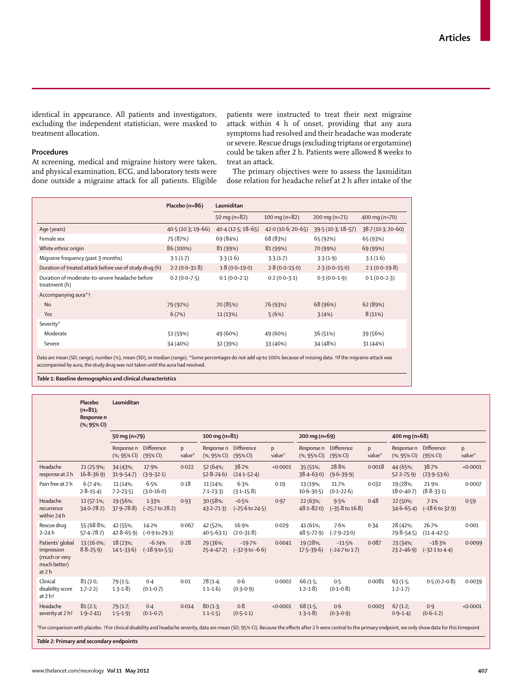identical in appearance. All patients and investigators, excluding the independent statistician, were masked to treatment allocation.

patients were instructed to treat their next migraine attack within 4 h of onset, providing that any aura symptoms had resolved and their headache was moderate or severe. Rescue drugs (excluding triptans or ergotamine) could be taken after 2 h. Patients were allowed 8 weeks to treat an attack.

# **Procedures**

At screening, medical and migraine history were taken, and physical examination, ECG, and laboratory tests were done outside a migraine attack for all patients. Eligible

The primary objectives were to assess the lasmiditan dose relation for headache relief at 2 h after intake of the

|                                                                 | Placebo (n=86)      | Lasmiditan          |                     |                         |                     |  |  |
|-----------------------------------------------------------------|---------------------|---------------------|---------------------|-------------------------|---------------------|--|--|
|                                                                 |                     | 50 mg ( $n=82$ )    | 100 mg ( $n=82$ )   | $200 \text{ mg} (n=71)$ | 400 mg $(n=70)$     |  |  |
| Age (years)                                                     | $40.5(10.3; 19-66)$ | $40.4(12.5; 18-65)$ | $42.0(10.6; 20-65)$ | $39.5(10.3; 18-57)$     | $38.7(10.3; 20-60)$ |  |  |
| Female sex                                                      | 75 (87%)            | 69 (84%)            | 68 (83%)            | 65 (92%)                | 65 (93%)            |  |  |
| White ethnic origin                                             | 86 (100%)           | 81 (99%)            | 81 (99%)            | 70 (99%)                | 69 (99%)            |  |  |
| Migraine frequency (past 3 months)                              | 3.1(1.7)            | 3.3(1.6)            | 3.3(1.7)            | 3.3(1.9)                | 3.1(1.6)            |  |  |
| Duration of treated attack before use of study drug (h)         | $2.2(0.0-31.8)$     | $1.8(0.0-19.0)$     | $2.8(0.0-15.0)$     | $2.3(0.0-15.0)$         | $2.1(0.0-19.8)$     |  |  |
| Duration of moderate-to-severe headache before<br>treatment (h) | $0.2(0.0 - 7.5)$    | $0.1(0.0-2.1)$      | $0.2(0.0-3.1)$      | $0.3(0.0-1.9)$          | $0.1(0.0-2.3)$      |  |  |
| Accompanying aura*†                                             |                     |                     |                     |                         |                     |  |  |
| <b>No</b>                                                       | 79 (92%)            | 70 (85%)            | 76 (93%)            | 68 (96%)                | 62 (89%)            |  |  |
| Yes                                                             | 6(7%)               | 11(13%)             | 5(6%)               | 3(4%)                   | 8(11%)              |  |  |
| Severity*                                                       |                     |                     |                     |                         |                     |  |  |
| Moderate                                                        | 51 (59%)            | 49 (60%)            | 49 (60%)            | 36 (51%)                | 39 (56%)            |  |  |
| Severe                                                          | 34 (40%)            | 32 (39%)            | 33 (40%)            | 34 (48%)                | 31 (44%)            |  |  |

Data are mean (SD; range), number (%), mean (SD), or median (range). \*Some percentages do not add up to 100% because of missing data. †If the migraine attack was accompanied by aura, the study drug was not taken until the aura had resolved.

*Table 1:* **Baseline demographics and clinical characteristics**

**Placebo (n=81); Response n Lasmiditan**

|                                                                           | $(% )$ (%; 95% CI)               |                           |                                       |                                              |                           |                                        |                                  |                           |                                       |                                  |                           |                                       |          |
|---------------------------------------------------------------------------|----------------------------------|---------------------------|---------------------------------------|----------------------------------------------|---------------------------|----------------------------------------|----------------------------------|---------------------------|---------------------------------------|----------------------------------|---------------------------|---------------------------------------|----------|
|                                                                           |                                  | 50 mg (n=79)              |                                       |                                              | 100 mg ( $n=81$ )         |                                        |                                  | $200 \text{ mg} (n=69)$   |                                       |                                  | 400 mg ( $n=68$ )         |                                       |          |
|                                                                           | Response n<br>$(% )$ (%; 95% CI) | Difference<br>(95% CI)    | p<br>value*                           | Response n<br>$(% )^{(1,1,1,1)}$ (%; 95% CI) | Difference<br>(95% CI)    | p<br>value*                            | Response n<br>$(% )$ (%; 95% CI) | Difference<br>(95% CI)    | p<br>value*                           | Response n<br>$(% )$ (%; 95% CI) | Difference<br>(95% CI)    | p<br>value*                           |          |
| Headache<br>response at 2 h                                               | 21 (25.9%;<br>$16.8 - 36.9$      | 34 (43%;<br>$31.9 - 54.7$ | 17.9%<br>$(3.9 - 32.1)$               | 0.022                                        | 52 (64%;<br>$52.8 - 74.6$ | 38.2%<br>$(24.1 - 52.4)$               | < 0.0001                         | 35 (51%;<br>$38.4 - 63.0$ | 28.8%<br>$(9.6 - 39.9)$               | 0.0018                           | 44 (65%;<br>$52.2 - 75.9$ | 38.7%<br>$(23.9 - 53.6)$              | < 0.0001 |
| Pain free at 2 h                                                          | 6(7.4%;<br>$2.8 - 15.4$          | 11 (14%;<br>$7.2 - 23.5$  | 6.5%<br>$(3.0 - 16.0)$                | 0.18                                         | 11 (14%;<br>$7.1 - 23.3$  | 6.3%<br>$(3.1 - 15.8)$                 | 0.19                             | 13 (19%;<br>$10.6 - 30.5$ | 11.7%<br>$(0.1 - 22.6)$               | 0.032                            | 19 (28%;<br>$18.0 - 40.7$ | 21.9%<br>$(8.8 - 33.1)$               | 0.0007   |
| Headache<br>recurrence<br>within 24 h                                     | 12 (57.1%;<br>$34.0 - 78.2$      | 19 (56%;<br>$37.9 - 78.8$ | 1.33%<br>(-25.7 to 28.2)              | 0.93                                         | 30 (58%;<br>$43.2 - 71.3$ | $-0.5%$<br>$(-25.6 \text{ to } 24.5)$  | 0.97                             | 22 (63%;<br>$48.1 - 82.0$ | 9.5%<br>$(-35.8 \text{ to } 16.8)$    | 0.48                             | 22 (50%;<br>$34.6 - 65.4$ | 7.1%<br>$(-18.6 \text{ to } 32.9)$    | 0.59     |
| Rescue drug<br>$2 - 24h$                                                  | 55 (68.8%;<br>$57-4-78-7$        | 42 (55%;<br>$42.8 - 65.9$ | $14 - 2%$<br>$(-0.9$ to 29.3)         | 0.067                                        | 42 (52%;<br>$40.5 - 63.1$ | 16.9%<br>$(2.0 - 31.8)$                | 0.029                            | 41 (61%;<br>$48.5 - 72.9$ | 7.6%<br>$(-7.9 - 23.0)$               | 0.34                             | 28 (42%;<br>$29.8 - 54.5$ | 26.7%<br>$(11-4-42-5)$                | 0.001    |
| Patients' global<br>impression<br>(much or very<br>much better)<br>at 2 h | 13 (16.0%;<br>$8.8 - 25.9$       | 18 (23%;<br>$14.1 - 33.6$ | $-6.74%$<br>$(-18.9 \text{ to } 5.5)$ | 0.28                                         | 29 (36%;<br>$25.4 - 47.2$ | $-19.7%$<br>$(-32.9 \text{ to } -6.6)$ | 0.0041                           | 19 (28%;<br>$17.5 - 39.6$ | $-11.5%$<br>$(-24.7 \text{ to } 1.7)$ | 0.087                            | 23 (34%;<br>$23.2 - 46.9$ | $-18.3%$<br>$(-32.1 \text{ to } 4.4)$ | 0.0099   |
| Clinical<br>disability score<br>at $2h$                                   | 81(2.0;<br>$1.7 - 2.2$           | 79(1.5;<br>$1.3 - 1.8$    | 0.4<br>$(0.1 - 0.7)$                  | 0.01                                         | 78(1.4;<br>$1.1 - 1.6$    | 0.6<br>$(0.3 - 0.9)$                   | 0.0002                           | 66(1.5)<br>$1-2-1-8$      | 0.5<br>$(0.1 - 0.8)$                  | 0.0081                           | 63(1.5)<br>$1-2-1-7$      | $0.5(0.2-0.8)$                        | 0.0039   |
| Headache                                                                  | 81(2.1;<br>$1.9 - 2.41$          | 79 (1.7;<br>$1.5 - 1.9$   | 0.4<br>$(0.1 - 0.7)$                  | 0.014                                        | $80(1-3;$<br>$1.1 - 1.5$  | 0.8<br>$(0.5 - 1.1)$                   | < 0.0001                         | 68(1.5;<br>$1.3 - 1.8$    | 0.6<br>$(0.3 - 0.9)$                  | 0.0003                           | 67(1.2;<br>$0.9 - 1.4$    | 0.9<br>$(0.6 - 1.2)$                  | < 0.0001 |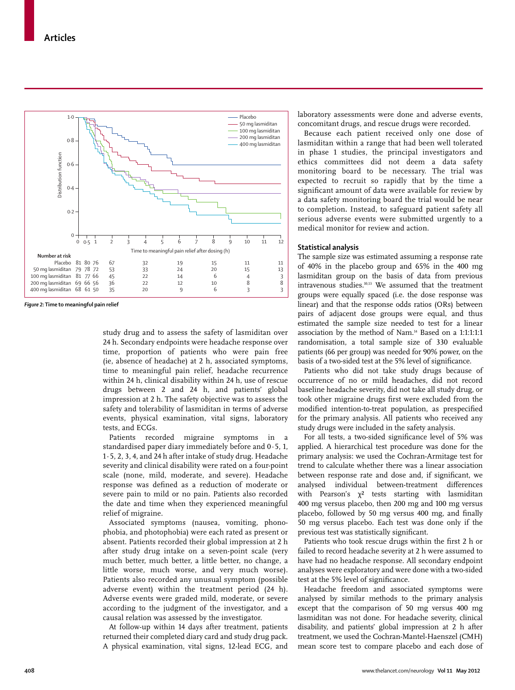

*Figure 2:* **Time to meaningful pain relief**

study drug and to assess the safety of lasmiditan over 24 h. Secondary endpoints were headache response over time, proportion of patients who were pain free (ie, absence of headache) at 2 h, associated symptoms, time to meaningful pain relief, headache recurrence within 24 h, clinical disability within 24 h, use of rescue drugs between 2 and 24 h, and patients' global impression at 2 h. The safety objective was to assess the safety and tolerability of lasmiditan in terms of adverse events, physical examination, vital signs, laboratory tests, and ECGs.

Patients recorded migraine symptoms in a standardised paper diary immediately before and  $0.5$ , 1, 1·5, 2, 3, 4, and 24 h after intake of study drug. Headache severity and clinical disability were rated on a four-point scale (none, mild, moderate, and severe). Headache response was defined as a reduction of moderate or severe pain to mild or no pain. Patients also recorded the date and time when they experienced meaningful relief of migraine.

Associated symptoms (nausea, vomiting, phonophobia, and photophobia) were each rated as present or absent. Patients recorded their global impression at 2 h after study drug intake on a seven-point scale (very much better, much better, a little better, no change, a little worse, much worse, and very much worse). Patients also recorded any unusual symptom (possible adverse event) within the treatment period (24 h). Adverse events were graded mild, moderate, or severe according to the judgment of the investigator, and a causal relation was assessed by the investigator.

At follow-up within 14 days after treatment, patients returned their completed diary card and study drug pack. A physical examination, vital signs, 12-lead ECG, and laboratory assessments were done and adverse events, concomitant drugs, and rescue drugs were recorded.

Because each patient received only one dose of lasmiditan within a range that had been well tolerated in phase 1 studies, the principal investigators and ethics committees did not deem a data safety monitoring board to be necessary. The trial was expected to recruit so rapidly that by the time a significant amount of data were available for review by a data safety monitoring board the trial would be near to completion**.** Instead, to safeguard patient safety all serious adverse events were submitted urgently to a medical monitor for review and action.

# **Statistical analysis**

The sample size was estimated assuming a response rate of 40% in the placebo group and 65% in the 400 mg lasmiditan group on the basis of data from previous intravenous studies.10,13 We assumed that the treatment groups were equally spaced (i.e. the dose response was linear) and that the response odds ratios (ORs) between pairs of adjacent dose groups were equal, and thus estimated the sample size needed to test for a linear association by the method of Nam.14 Based on a 1:1:1:1:1 randomisation, a total sample size of 330 evaluable patients (66 per group) was needed for 90% power, on the basis of a two-sided test at the 5% level of significance.

Patients who did not take study drugs because of occurrence of no or mild headaches, did not record baseline headache severity, did not take all study drug, or took other migraine drugs first were excluded from the modified intention-to-treat population, as prespecified for the primary analysis. All patients who received any study drugs were included in the safety analysis.

For all tests, a two-sided significance level of 5% was applied. A hierarchical test procedure was done for the primary analysis: we used the Cochran-Armitage test for trend to calculate whether there was a linear association between response rate and dose and, if significant, we analysed individual between-treatment differences with Pearson's  $\chi^2$  tests starting with lasmiditan 400 mg versus placebo, then 200 mg and 100 mg versus placebo, followed by 50 mg versus 400 mg, and finally 50 mg versus placebo. Each test was done only if the previous test was statistically significant.

Patients who took rescue drugs within the first 2 h or failed to record headache severity at 2 h were assumed to have had no headache response. All secondary endpoint analyses were exploratory and were done with a two-sided test at the 5% level of significance.

Headache freedom and associated symptoms were analysed by similar methods to the primary analysis except that the comparison of 50 mg versus 400 mg lasmiditan was not done. For headache severity, clinical disability, and patients' global impression at 2 h after treatment, we used the Cochran-Mantel-Haenszel (CMH) mean score test to compare placebo and each dose of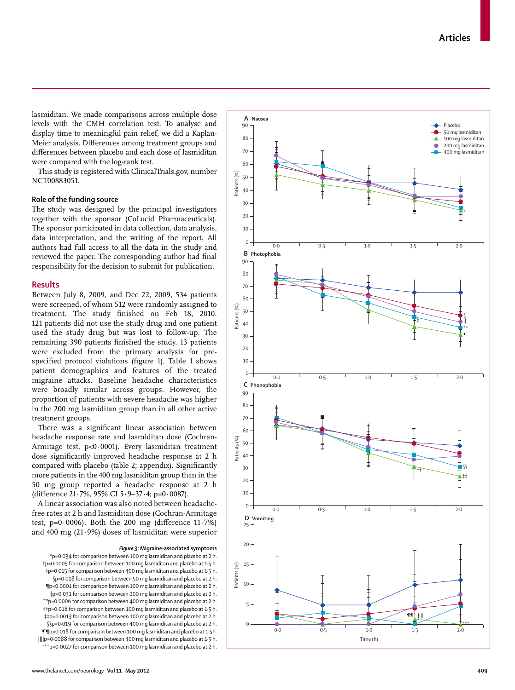lasmiditan. We made comparisons across multiple dose levels with the CMH correlation test. To analyse and display time to meaningful pain relief, we did a Kaplan-Meier analysis. Differences among treatment groups and differences between placebo and each dose of lasmiditan were compared with the log-rank test.

This study is registered with ClinicalTrials.gov, number NCT00883051.

# **Role of the funding source**

The study was designed by the principal investigators together with the sponsor (CoLucid Pharmaceuticals). The sponsor participated in data collection, data analysis, data interpretation, and the writing of the report. All authors had full access to all the data in the study and reviewed the paper. The corresponding author had final responsibility for the decision to submit for publication.

#### **Results**

Between July 8, 2009, and Dec 22, 2009, 534 patients were screened, of whom 512 were randomly assigned to treatment. The study finished on Feb 18, 2010. 121 patients did not use the study drug and one patient used the study drug but was lost to follow-up. The remaining 390 patients finished the study. 13 patients were excluded from the primary analysis for prespecified protocol violations (figure 1). Table 1 shows patient demographics and features of the treated migraine attacks. Baseline headache characteristics were broadly similar across groups. However, the proportion of patients with severe headache was higher in the 200 mg lasmiditan group than in all other active treatment groups.

There was a significant linear association between headache response rate and lasmiditan dose (Cochran-Armitage test, p<0·0001). Every lasmiditan treatment dose significantly improved headache response at 2 h compared with placebo (table 2; appendix). Significantly more patients in the 400 mg lasmiditan group than in the 50 mg group reported a headache response at 2 h (difference 21.7%, 95% CI 5.9-37.4; p=0.0087).

A linear association was also noted between headachefree rates at 2 h and lasmiditan dose (Cochran-Armitage test,  $p=0.0006$ ). Both the 200 mg (difference  $11.7\%$ ) and 400 mg (21·9%) doses of lasmiditan were superior

#### *Figure 3:* **Migraine-associated symptoms**

\*p=0·034 for comparison between 100 mg lasmiditan and placebo at 2 h. †p=0·0005 for comparison between 100 mg lasmiditan and placebo at 1·5 h. ‡p=0·015 for comparison between 400 mg lasmiditan and placebo at 1·5 h. §p=0·018 for comparison between 50 mg lasmiditan and placebo at 2 h. ¶p<0·0001 for comparison between 100 mg lasmiditan and placebo at 2 h. ||p=0·031 for comparison between 200 mg lasmiditan and placebo at 2 h. \*\*p=0·0006 for comparison between 400 mg lasmiditan and placebo at 2 h. ††p=0·018 for comparison between 100 mg lasmiditan and placebo at 1·5 h. ‡‡p=0·0013 for comparison between 100 mg lasmiditan and placebo at 2 h. §§p=0·019 for comparison between 400 mg lasmiditan and placebo at 2 h. ¶¶p=0·018 for comparison between 100 mg lasmiditan and placebo at 1·5h. ||||p=0·0088 for comparison between 400 mg lasmiditan and placebo at 1·5 h. \*\*\*p=0·0027 for comparison between 100 mg lasmiditan and placebo at 2 h.

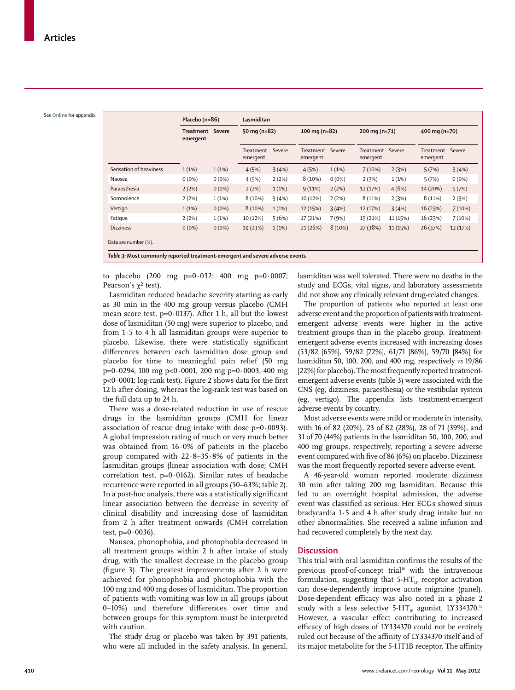| See Online for appendix |  |  |  |  |  |  |
|-------------------------|--|--|--|--|--|--|
|-------------------------|--|--|--|--|--|--|

|                                                                              | Placebo (n=86)                      |          | Lasmiditan            |          |                       |           |                         |          |                       |          |  |
|------------------------------------------------------------------------------|-------------------------------------|----------|-----------------------|----------|-----------------------|-----------|-------------------------|----------|-----------------------|----------|--|
|                                                                              | <b>Treatment Severe</b><br>emergent |          | 50 mg ( $n=82$ )      |          | 100 mg ( $n=82$ )     |           | $200 \text{ mg} (n=71)$ |          | 400 mg ( $n=70$ )     |          |  |
|                                                                              |                                     |          | Treatment<br>emergent | Severe   | Treatment<br>emergent | Severe    | Treatment<br>emergent   | Severe   | Treatment<br>emergent | Severe   |  |
| Sensation of heaviness                                                       | 1(1%)                               | $1(1\%)$ | 4(5%)                 | 3(4%)    | 4(5%)                 | 1(1%)     | 7(10%)                  | 2(3%)    | 5(7%)                 | 3(4%)    |  |
| Nausea                                                                       | $0(0\%)$                            | $0(0\%)$ | 4(5%)                 | 2(2%)    | 8(10%)                | $0(0\%)$  | 2(3%)                   | 1(1%)    | 5(7%)                 | $0(0\%)$ |  |
| Paraesthesia                                                                 | 2(2%)                               | $0(0\%)$ | 2(2%)                 | $1(1\%)$ | 9(11%)                | 2(2%)     | 12 (17%)                | 4(6%)    | 14 (20%)              | 5(7%)    |  |
| Somnolence                                                                   | 2(2%)                               | 1(1%)    | 8(10%)                | 3(4%)    | 10 (12%)              | 2(2%)     | 8(11%)                  | 2(3%)    | 8(11%)                | 2(3%)    |  |
| Vertigo                                                                      | 1(1%)                               | $0(0\%)$ | $8(10\%)$             | $1(1\%)$ | 12 (15%)              | 3(4%)     | 12 (17%)                | 3(4%)    | 16 (23%)              | 7(10%)   |  |
| Fatique                                                                      | 2(2%)                               | 1(1%)    | 10 (12%)              | 5(6%)    | 17 (21%)              | 7(9%)     | 15 (21%)                | 11 (15%) | 16 (23%)              | 7(10%)   |  |
| <b>Dizziness</b>                                                             | $0(0\%)$                            | $0(0\%)$ | 19 (23%)              | $1(1\%)$ | 21(26%)               | $8(10\%)$ | 27 (38%)                | 11 (15%) | 26 (37%)              | 12 (17%) |  |
| Data are number (%).                                                         |                                     |          |                       |          |                       |           |                         |          |                       |          |  |
| Table 3: Most commonly reported treatment-emergent and severe adverse events |                                     |          |                       |          |                       |           |                         |          |                       |          |  |

to placebo (200 mg p=0 $\cdot$ 032; 400 mg p=0 $\cdot$ 0007; Pearson's  $x^2$  test).

Lasmiditan reduced headache severity starting as early as 30 min in the 400 mg group versus placebo (CMH mean score test,  $p=0.0137$ ). After 1 h, all but the lowest dose of lasmiditan (50 mg) were superior to placebo, and from 1·5 to 4 h all lasmiditan groups were superior to placebo. Likewise, there were statistically significant differences between each lasmiditan dose group and placebo for time to meaningful pain relief (50 mg p=0·0294, 100 mg p<0·0001, 200 mg p=0·0003, 400 mg  $p<0.0001$ ; log-rank test). Figure 2 shows data for the first 12 h after dosing, whereas the log-rank test was based on the full data up to 24 h.

There was a dose-related reduction in use of rescue drugs in the lasmiditan groups (CMH for linear association of rescue drug intake with dose  $p=0.0093$ ). A global impression rating of much or very much better was obtained from 16·0% of patients in the placebo group compared with 22·8–35·8% of patients in the lasmiditan groups (linear association with dose; CMH correlation test,  $p=0.0162$ ). Similar rates of headache recurrence were reported in all groups (50–63%; table 2). In a post-hoc analysis, there was a statistically significant linear association between the decrease in severity of clinical disability and increasing dose of lasmiditan from 2 h after treatment onwards (CMH correlation test,  $p=0.0036$ ).

Nausea, phonophobia, and photophobia decreased in all treatment groups within 2 h after intake of study drug, with the smallest decrease in the placebo group (figure 3). The greatest improvements after 2 h were achieved for phonophobia and photophobia with the 100 mg and 400 mg doses of lasmiditan. The proportion of patients with vomiting was low in all groups (about 0-10%) and therefore differences over time and between groups for this symptom must be interpreted with caution.

The study drug or placebo was taken by 391 patients, who were all included in the safety analysis. In general, lasmiditan was well tolerated. There were no deaths in the study and ECGs, vital signs, and laboratory assessments did not show any clinically relevant drug-related changes.

The proportion of patients who reported at least one adverse event and the proportion of patients with treatmentemergent adverse events were higher in the active treatment groups than in the placebo group. Treatmentemergent adverse events increased with increasing doses (53/82 [65%], 59/82 [72%], 61/71 [86%], 59/70 [84%] for lasmiditan 50, 100, 200, and 400 mg, respectively *vs* 19/86 [22%] for placebo). The most frequently reported treatmentemergent adverse events (table 3) were associated with the CNS (eg, dizziness, paraesthesia) or the vestibular system (eg, vertigo). The appendix lists treatment-emergent adverse events by country.

Most adverse events were mild or moderate in intensity, with 16 of 82 (20%), 23 of 82 (28%), 28 of 71 (39%), and 31 of 70 (44%) patients in the lasmiditan 50, 100, 200, and 400 mg groups, respectively, reporting a severe adverse event compared with five of 86 (6%) on placebo. Dizziness was the most frequently reported severe adverse event.

A 46-year-old woman reported moderate dizziness 30 min after taking 200 mg lasmiditan. Because this led to an overnight hospital admission, the adverse event was classified as serious. Her ECGs showed sinus bradycardia 1·5 and 4 h after study drug intake but no other abnormalities. She received a saline infusion and had recovered completely by the next day.

#### **Discussion**

This trial with oral lasmiditan confirms the results of the previous proof-of-concept trial<sup>10</sup> with the intravenous formulation, suggesting that  $5-HT_{1F}$  receptor activation can dose-dependently improve acute migraine (panel). Dose-dependent efficacy was also noted in a phase 2 study with a less selective  $5-HT<sub>IF</sub>$  agonist, LY334370.<sup>15</sup> However, a vascular effect contributing to increased efficacy of high doses of LY334370 could not be entirely ruled out because of the affinity of LY334370 itself and of its major metabolite for the 5-HT1B receptor. The affinity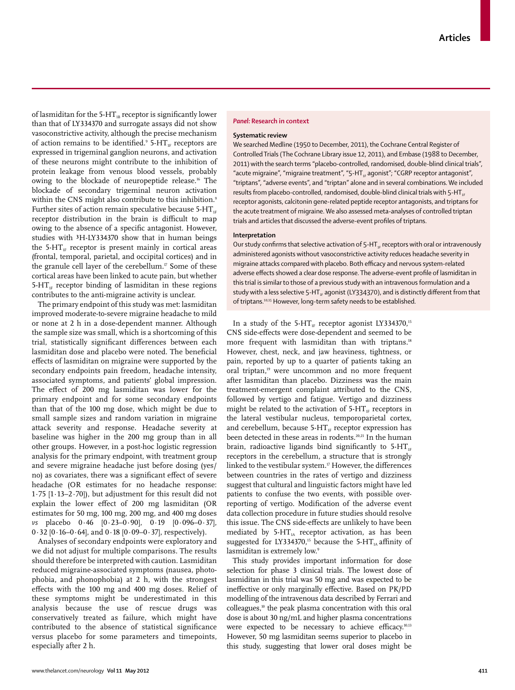of lasmiditan for the 5-HT<sub>1B</sub> receptor is significantly lower than that of LY334370 and surrogate assays did not show vasoconstrictive activity, although the precise mechanism of action remains to be identified. $^{\circ}$  5-HT $_{\textrm{\tiny{IF}}}$  receptors are expressed in trigeminal ganglion neurons, and activation of these neurons might contribute to the inhibition of protein leakage from venous blood vessels, probably owing to the blockade of neuropeptide release.<sup>16</sup> The blockade of secondary trigeminal neuron activation within the CNS might also contribute to this inhibition.<sup>9</sup> Further sites of action remain speculative because  $5-HT_{1F}$ receptor distribution in the brain is difficult to map owing to the absence of a specific antagonist. However, studies with ³H-LY334370 show that in human beings the  $5-HT_{IF}$  receptor is present mainly in cortical areas (frontal, temporal, parietal, and occipital cortices) and in the granule cell layer of the cerebellum. $\mathbb{I}^7$  Some of these cortical areas have been linked to acute pain, but whether  $5-HT_{\text{tr}}$  receptor binding of lasmiditan in these regions contributes to the anti-migraine activity is unclear.

The primary endpoint of this study was met: lasmiditan improved moderate-to-severe migraine headache to mild or none at 2 h in a dose-dependent manner. Although the sample size was small, which is a shortcoming of this trial, statistically significant differences between each lasmiditan dose and placebo were noted. The beneficial effects of lasmiditan on migraine were supported by the secondary endpoints pain freedom, headache intensity, associated symptoms, and patients' global impression. The effect of 200 mg lasmiditan was lower for the primary endpoint and for some secondary endpoints than that of the 100 mg dose, which might be due to small sample sizes and random variation in migraine attack severity and response. Headache severity at baseline was higher in the 200 mg group than in all other groups. However, in a post-hoc logistic regression analysis for the primary endpoint, with treatment group and severe migraine headache just before dosing (yes/ no) as covariates, there was a significant effect of severe headache (OR estimates for no headache response: 1·75 [1·13–2·70]), but adjustment for this result did not explain the lower effect of 200 mg lasmiditan (OR estimates for 50 mg, 100 mg, 200 mg, and 400 mg doses *vs* placebo 0·46 [0·23–0·90], 0·19 [0·096–0·37],  $0.32$  [ $0.16-0.64$ ], and  $0.18$  [ $0.09-0.37$ ], respectively).

Analyses of secondary endpoints were exploratory and we did not adjust for multiple comparisons. The results should therefore be interpreted with caution. Lasmiditan reduced migraine-associated symptoms (nausea, photophobia, and phonophobia) at 2 h, with the strongest effects with the 100 mg and 400 mg doses. Relief of these symptoms might be underestimated in this analysis because the use of rescue drugs was conservatively treated as failure, which might have contributed to the absence of statistical significance versus placebo for some parameters and timepoints, especially after 2 h.

# *Panel:* **Research in context**

## **Systematic review**

We searched Medline (1950 to December, 2011), the Cochrane Central Register of Controlled Trials (The Cochrane Library issue 12, 2011), and Embase (1988 to December, 2011) with the search terms "placebo-controlled, randomised, double-blind clinical trials", "acute migraine", "migraine treatment", "5-HT $_{1F}$  agonist"; "CGRP receptor antagonist", "triptans", "adverse events", and "triptan" alone and in several combinations. We included results from placebo-controlled, randomised, double-blind clinical trials with  $5-HT_{1F}$ receptor agonists, calcitonin gene-related peptide receptor antagonists, and triptans for the acute treatment of migraine. We also assessed meta-analyses of controlled triptan trials and articles that discussed the adverse-event profiles of triptans.

#### **Interpretation**

Our study confirms that selective activation of  $5-HT_{1F}$  receptors with oral or intravenously administered agonists without vasoconstrictive activity reduces headache severity in migraine attacks compared with placebo. Both efficacy and nervous system-related adverse effects showed a clear dose response. The adverse-event profile of lasmiditan in this trial is similar to those of a previous study with an intravenous formulation and a study with a less selective  $5-HT_{15}$  agonist (LY334370), and is distinctly different from that of triptans.<sup>10,15</sup> However, long-term safety needs to be established.

In a study of the 5-HT<sub>1F</sub> receptor agonist LY334370,<sup>15</sup> CNS side-effects were dose-dependent and seemed to be more frequent with lasmiditan than with triptans.<sup>18</sup> However, chest, neck, and jaw heaviness, tightness, or pain, reported by up to a quarter of patients taking an oral triptan,<sup>19</sup> were uncommon and no more frequent after lasmiditan than placebo. Dizziness was the main treatment-emergent complaint attributed to the CNS, followed by vertigo and fatigue. Vertigo and dizziness might be related to the activation of  $5-HT_{\text{eff}}$  receptors in the lateral vestibular nucleus, temporoparietal cortex, and cerebellum, because  $5-HT<sub>IF</sub>$  receptor expression has been detected in these areas in rodents.<sup>20,21</sup> In the human brain, radioactive ligands bind significantly to  $5-HT_{1F}$ receptors in the cerebellum, a structure that is strongly linked to the vestibular system. $\mathbf{r}$  However, the differences between countries in the rates of vertigo and dizziness suggest that cultural and linguistic factors might have led patients to confuse the two events, with possible overreporting of vertigo. Modification of the adverse event data collection procedure in future studies should resolve this issue. The CNS side-effects are unlikely to have been mediated by  $5-HT_{1A}$  receptor activation, as has been suggested for LY334370,<sup>15</sup> because the 5-HT<sub>1A</sub> affinity of lasmiditan is extremely low.<sup>9</sup>

This study provides important information for dose selection for phase 3 clinical trials. The lowest dose of lasmiditan in this trial was 50 mg and was expected to be ineffective or only marginally effective. Based on PK/PD modelling of the intravenous data described by Ferrari and colleagues,<sup>10</sup> the peak plasma concentration with this oral dose is about 30 ng/mL and higher plasma concentrations were expected to be necessary to achieve efficacy.<sup>10,13</sup> However, 50 mg lasmiditan seems superior to placebo in this study, suggesting that lower oral doses might be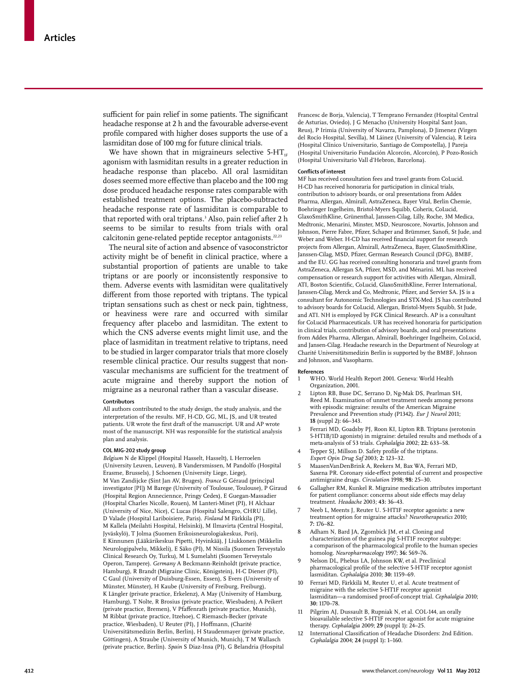sufficient for pain relief in some patients. The significant headache response at 2 h and the favourable adverse-event profile compared with higher doses supports the use of a lasmiditan dose of 100 mg for future clinical trials.

We have shown that in migraineurs selective  $5-HT_{\text{th}}$ agonism with lasmiditan results in a greater reduction in headache response than placebo. All oral lasmiditan doses seemed more effective than placebo and the 100 mg dose produced headache response rates comparable with established treatment options. The placebo-subtracted headache response rate of lasmiditan is comparable to that reported with oral triptans.3 Also, pain relief after 2 h seems to be similar to results from trials with oral calcitonin gene-related peptide receptor antagonists.<sup>22,23</sup>

The neural site of action and absence of vasoconstrictor activity might be of benefit in clinical practice, where a substantial proportion of patients are unable to take triptans or are poorly or inconsistently responsive to them. Adverse events with lasmiditan were qualitatively different from those reported with triptans. The typical triptan sensations such as chest or neck pain, tightness, or heaviness were rare and occurred with similar frequency after placebo and lasmiditan. The extent to which the CNS adverse events might limit use, and the place of lasmiditan in treatment relative to triptans, need to be studied in larger comparator trials that more closely resemble clinical practice. Our results suggest that nonvascular mechanisms are sufficient for the treatment of acute migraine and thereby support the notion of migraine as a neuronal rather than a vascular disease.

#### **Contributors**

All authors contributed to the study design, the study analysis, and the interpretation of the results. MF, H-CD, GG, ML, JS, and UR treated patients. UR wrote the first draft of the manuscript. UR and AP wrote most of the manuscript. NH was responsible for the statistical analysis plan and analysis.

#### **COL MIG-202 study group**

*Belgium* N de Klippel (Hospital Hasselt, Hasselt), L Herroelen (University Leuven, Leuven), B Vandersmissen, M Pandolfo (Hospital Erasme, Brussels), J Schoenen (University Liege, Liege), M Van Zandijcke (Sint Jan AV, Bruges). *France* G Géraud (principal investigator [PI]) M Barege (University of Toulouse, Toulouse), P Giraud (Hospital Region Anneciennce, Pringy Cedex), E Guegan-Massadier (Hospital Charles Nicolle, Rouen), M Lanteri-Minet (PI), H Alchaar (University of Nice, Nice), C Lucas (Hospital Salengro, CHRU Lille), D Valade (Hospital Lariboisiere, Paris). *Finland* M Färkkila (PI), M Kallela (Meilahti Hospital, Helsinki), M Ilmavirta (Central Hospital, Jyväskylö), T Jolma (Suomen Erikoisneurologiakeskus, Pori), E Kinnunen (Lääkärikeskus Pipetti, Hyvinkää), J Liukkonen (Mikkelin Neurologipalvelu, Mikkeli), E Säko (PI), M Nissila (Suomen Terveystalo Clinical Research Oy, Turku), M L Sumelahti (Suomen Terveystalo Operon, Tampere). *Germany* A Beckmann-Reinholdt (private practice, Hamburg), R Brandt (Migraine Clinic, Königstein), H-C Diener (PI), C Gaul (University of Duisburg-Essen, Essen), S Evers (University of Münster, Münster), H Kaube (University of Freiburg, Freiburg), K Längler (private practice, Erkelenz), A May (University of Hamburg, Hamburg), T Nolte, R Brosius (private practice, Wiesbaden), A Peikert (private practice, Bremen), V Pfaffenrath (private practice, Munich), M Ribbat (private practice, Itzehoe), C Riemasch-Becker (private practice, Wiesbaden), U Reuter (PI), J Hoffmann, (Charité Universitätsmedizin Berlin, Berlin), H Staudenmayer (private practice, Göttingen), A Straube (University of Munich, Munich), T M Wallasch (private practice, Berlin). *Spain* S Diaz-Insa (PI), G Belandria (Hospital

Francesc de Borja, Valencia), T Temprano Fernandez (Hospital Central de Asturias, Oviedo), J G Menacho (University Hospital Sant Joan, Reus), P Irimia (University of Navarra, Pamplona), D Jimenez (Virgen del Rocío Hospital, Sevilla), M Láinez (University of Valencia), R Leira (Hospital Clínico Universitario, Santiago de Compostella), J Pareja (Hospital Universitario Fundación Alcorcón, Alcorcón), P Pozo-Rosich (Hospital Universitario Vall d'Hebron, Barcelona).

#### **Confl icts of interest**

MF has received consultation fees and travel grants from CoLucid. H-CD has received honoraria for participation in clinical trials, contribution to advisory boards, or oral presentations from Addex Pharma, Allergan, Almirall, AstraZeneca, Bayer Vital, Berlin Chemie, Boehringer Ingelheim, Bristol-Myers Squibb, Coherix, CoLucid, GlaxoSmithKline, Grünenthal, Janssen-Cilag, Lilly, Roche, 3M Medica, Medtronic, Menarini, Minster, MSD, Neuroscore, Novartis, Johnson and Johnson, Pierre Fabre, Pfizer, Schaper and Brümmer, Sanofi, St Jude, and Weber and Weber. H-CD has received financial support for research projects from Allergan, Almirall, AstraZeneca, Bayer, GlaxoSmithKline, Janssen-Cilag, MSD, Pfizer, German Research Council (DFG), BMBF, and the EU. GG has received consulting honoraria and travel grants from AstraZeneca, Allergan SA, Pfizer, MSD, and Ménarini. ML has received compensation or research support for activities with Allergan, Almirall, ATI, Boston Scientific, CoLucid, GlaxoSmithKline, Ferrer International, Janssen-Cilag, Merck and Co, Medtronic, Pfizer, and Servier SA. JS is a consultant for Autonomic Technologies and STX-Med. JS has contributed to advisory boards for CoLucid, Allergan, Bristol-Myers Squibb, St Jude, and ATI. NH is employed by FGK Clinical Research. AP is a consultant for CoLucid Pharmaceuticals. UR has received honoraria for participation in clinical trials, contribution of advisory boards, and oral presentations from Addex Pharma, Allergan, Almirall, Boehringer Ingelheim, CoLucid, and Jansen-Cilag. Headache research in the Department of Neurology at Charité Universitätsmedizin Berlin is supported by the BMBF, Johnson and Johnson, and Vasopharm.

#### **References**

1 WHO. World Health Report 2001. Geneva: World Health Organization, 2001.

- Lipton RB, Buse DC, Serrano D, Ng-Mak DS, Pearlman SH, Reed M. Examination of unmet treatment needs among persons with episodic migraine: results of the American Migraine Prevalence and Prevention study (P1342). *Eur J Neurol* 2011; **18** (suppl 2)**:** 66–343.
- 3 Ferrari MD, Goadsby PJ, Roon KI, Lipton RB. Triptans (serotonin 5-HT1B/1D agonists) in migraine: detailed results and methods of a meta-analysis of 53 trials. *Cephalalgia* 2002; **22:** 633–58.
- Tepper SJ, Millson D. Safety profile of the triptans. *Expert Opin Drug Saf* 2003; **2:** 123–32.
- 5 MaasenVanDenBrink A, Reekers M, Bax WA, Ferrari MD, Saxena PR. Coronary side-effect potential of current and prospective antimigraine drugs. *Circulation* 1998; **98:** 25–30.
- 6 Gallagher RM, Kunkel R. Migraine medication attributes important for patient compliance: concerns about side effects may delay treatment. *Headache* 2003; **43:** 36–43.
- Neeb L, Meents J, Reuter U. 5-HT1F receptor agonists: a new treatment option for migraine attacks? *Neurotherapeutics* 2010; **7:** 176–82.
- Adham N, Bard JA, Zgombick JM, et al. Cloning and characterization of the guinea pig 5-HT1F receptor subtype: a comparison of the pharmacological profile to the human species homolog. *Neuropharmacology* 1997; **36:** 569–76.
- 9 Nelson DL, Phebus LA, Johnson KW, et al. Preclinical pharmacological profile of the selective 5-HT1F receptor agonist lasmiditan. *Cephalalgia* 2010; **30:** 1159–69.
- Ferrari MD, Färkkilä M, Reuter U, et al. Acute treatment of migraine with the selective 5-HT1F receptor agonist lasmiditan—a randomised proof-of-concept trial. *Cephalalgia* 2010; **30:** 1170–78.
- Pilgrim AJ, Dussault B, Rupniak N, et al. COL-144, an orally bioavailable selective 5-HT1F receptor agonist for acute migraine therapy. *Cephalalgia* 2009; **29** (suppl 1)**:** 24–25.
- 12 International Classification of Headache Disorders: 2nd Edition. *Cephalalgia* 2004; **24** (suppl 1)**:** 1–160.